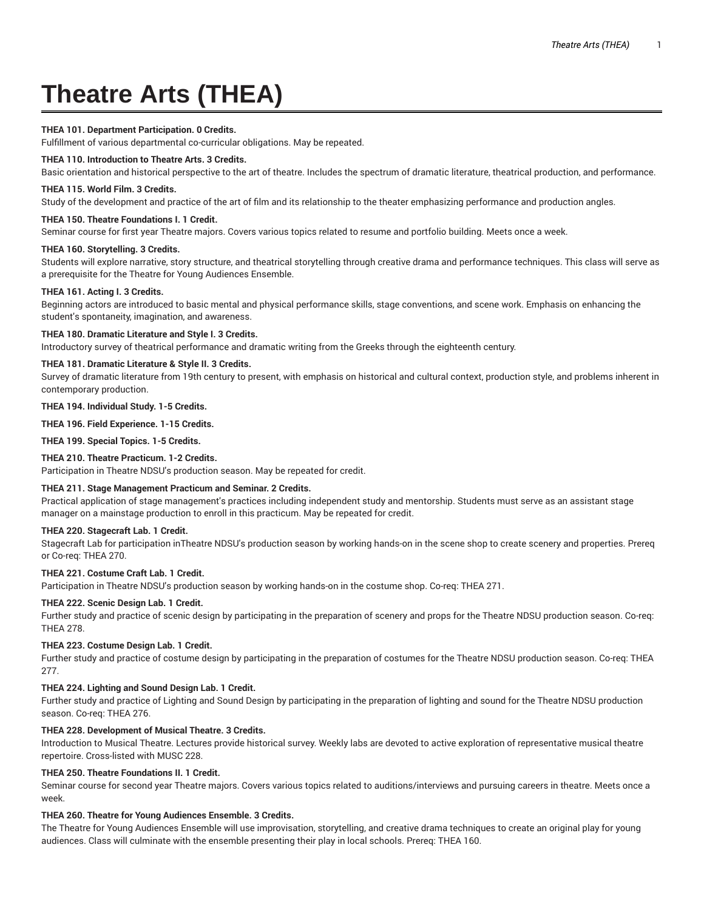# **Theatre Arts (THEA)**

## **THEA 101. Department Participation. 0 Credits.**

Fulfillment of various departmental co-curricular obligations. May be repeated.

#### **THEA 110. Introduction to Theatre Arts. 3 Credits.**

Basic orientation and historical perspective to the art of theatre. Includes the spectrum of dramatic literature, theatrical production, and performance.

#### **THEA 115. World Film. 3 Credits.**

Study of the development and practice of the art of film and its relationship to the theater emphasizing performance and production angles.

## **THEA 150. Theatre Foundations I. 1 Credit.**

Seminar course for first year Theatre majors. Covers various topics related to resume and portfolio building. Meets once a week.

#### **THEA 160. Storytelling. 3 Credits.**

Students will explore narrative, story structure, and theatrical storytelling through creative drama and performance techniques. This class will serve as a prerequisite for the Theatre for Young Audiences Ensemble.

#### **THEA 161. Acting I. 3 Credits.**

Beginning actors are introduced to basic mental and physical performance skills, stage conventions, and scene work. Emphasis on enhancing the student's spontaneity, imagination, and awareness.

#### **THEA 180. Dramatic Literature and Style I. 3 Credits.**

Introductory survey of theatrical performance and dramatic writing from the Greeks through the eighteenth century.

## **THEA 181. Dramatic Literature & Style II. 3 Credits.**

Survey of dramatic literature from 19th century to present, with emphasis on historical and cultural context, production style, and problems inherent in contemporary production.

#### **THEA 194. Individual Study. 1-5 Credits.**

**THEA 196. Field Experience. 1-15 Credits.**

**THEA 199. Special Topics. 1-5 Credits.**

## **THEA 210. Theatre Practicum. 1-2 Credits.**

Participation in Theatre NDSU's production season. May be repeated for credit.

# **THEA 211. Stage Management Practicum and Seminar. 2 Credits.**

Practical application of stage management's practices including independent study and mentorship. Students must serve as an assistant stage manager on a mainstage production to enroll in this practicum. May be repeated for credit.

#### **THEA 220. Stagecraft Lab. 1 Credit.**

Stagecraft Lab for participation inTheatre NDSU's production season by working hands-on in the scene shop to create scenery and properties. Prereq or Co-req: THEA 270.

# **THEA 221. Costume Craft Lab. 1 Credit.**

Participation in Theatre NDSU's production season by working hands-on in the costume shop. Co-req: THEA 271.

# **THEA 222. Scenic Design Lab. 1 Credit.**

Further study and practice of scenic design by participating in the preparation of scenery and props for the Theatre NDSU production season. Co-req: THEA 278.

## **THEA 223. Costume Design Lab. 1 Credit.**

Further study and practice of costume design by participating in the preparation of costumes for the Theatre NDSU production season. Co-req: THEA 277.

## **THEA 224. Lighting and Sound Design Lab. 1 Credit.**

Further study and practice of Lighting and Sound Design by participating in the preparation of lighting and sound for the Theatre NDSU production season. Co-req: THEA 276.

## **THEA 228. Development of Musical Theatre. 3 Credits.**

Introduction to Musical Theatre. Lectures provide historical survey. Weekly labs are devoted to active exploration of representative musical theatre repertoire. Cross-listed with MUSC 228.

## **THEA 250. Theatre Foundations II. 1 Credit.**

Seminar course for second year Theatre majors. Covers various topics related to auditions/interviews and pursuing careers in theatre. Meets once a week.

## **THEA 260. Theatre for Young Audiences Ensemble. 3 Credits.**

The Theatre for Young Audiences Ensemble will use improvisation, storytelling, and creative drama techniques to create an original play for young audiences. Class will culminate with the ensemble presenting their play in local schools. Prereq: THEA 160.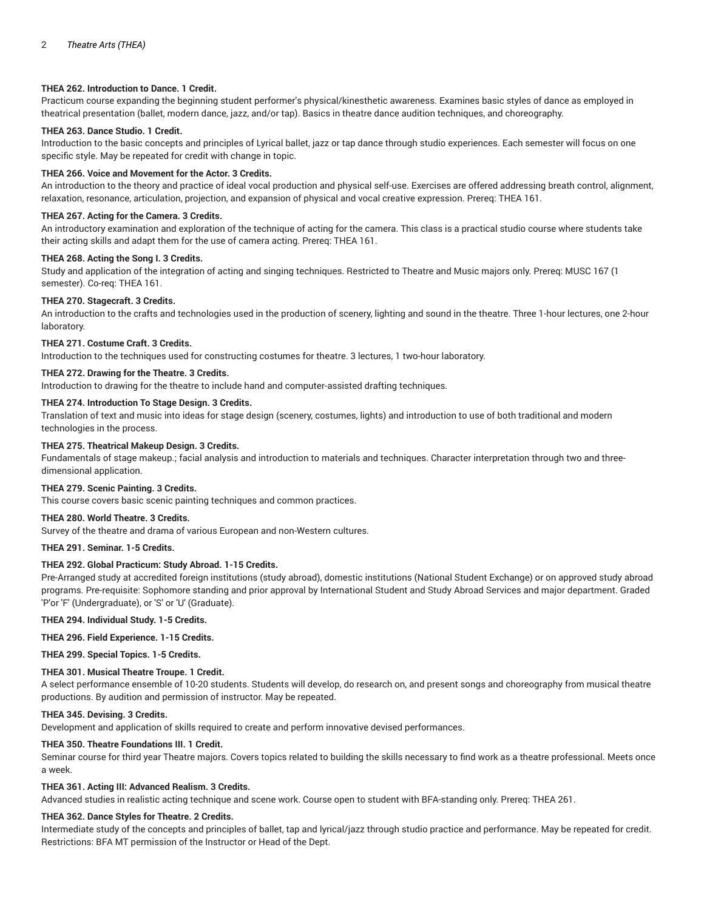## **THEA 262. Introduction to Dance. 1 Credit.**

Practicum course expanding the beginning student performer's physical/kinesthetic awareness. Examines basic styles of dance as employed in theatrical presentation (ballet, modern dance, jazz, and/or tap). Basics in theatre dance audition techniques, and choreography.

# **THEA 263. Dance Studio. 1 Credit.**

Introduction to the basic concepts and principles of Lyrical ballet, jazz or tap dance through studio experiences. Each semester will focus on one specific style. May be repeated for credit with change in topic.

## **THEA 266. Voice and Movement for the Actor. 3 Credits.**

An introduction to the theory and practice of ideal vocal production and physical self-use. Exercises are offered addressing breath control, alignment, relaxation, resonance, articulation, projection, and expansion of physical and vocal creative expression. Prereq: THEA 161.

## **THEA 267. Acting for the Camera. 3 Credits.**

An introductory examination and exploration of the technique of acting for the camera. This class is a practical studio course where students take their acting skills and adapt them for the use of camera acting. Prereq: THEA 161.

#### **THEA 268. Acting the Song I. 3 Credits.**

Study and application of the integration of acting and singing techniques. Restricted to Theatre and Music majors only. Prereq: MUSC 167 (1 semester). Co-req: THEA 161.

#### **THEA 270. Stagecraft. 3 Credits.**

An introduction to the crafts and technologies used in the production of scenery, lighting and sound in the theatre. Three 1-hour lectures, one 2-hour laboratory.

#### **THEA 271. Costume Craft. 3 Credits.**

Introduction to the techniques used for constructing costumes for theatre. 3 lectures, 1 two-hour laboratory.

## **THEA 272. Drawing for the Theatre. 3 Credits.**

Introduction to drawing for the theatre to include hand and computer-assisted drafting techniques.

# **THEA 274. Introduction To Stage Design. 3 Credits.**

Translation of text and music into ideas for stage design (scenery, costumes, lights) and introduction to use of both traditional and modern technologies in the process.

## **THEA 275. Theatrical Makeup Design. 3 Credits.**

Fundamentals of stage makeup.; facial analysis and introduction to materials and techniques. Character interpretation through two and threedimensional application.

## **THEA 279. Scenic Painting. 3 Credits.**

This course covers basic scenic painting techniques and common practices.

## **THEA 280. World Theatre. 3 Credits.**

Survey of the theatre and drama of various European and non-Western cultures.

## **THEA 291. Seminar. 1-5 Credits.**

## **THEA 292. Global Practicum: Study Abroad. 1-15 Credits.**

Pre-Arranged study at accredited foreign institutions (study abroad), domestic institutions (National Student Exchange) or on approved study abroad programs. Pre-requisite: Sophomore standing and prior approval by International Student and Study Abroad Services and major department. Graded 'P'or 'F' (Undergraduate), or 'S' or 'U' (Graduate).

**THEA 294. Individual Study. 1-5 Credits.**

## **THEA 296. Field Experience. 1-15 Credits.**

**THEA 299. Special Topics. 1-5 Credits.**

## **THEA 301. Musical Theatre Troupe. 1 Credit.**

A select performance ensemble of 10-20 students. Students will develop, do research on, and present songs and choreography from musical theatre productions. By audition and permission of instructor. May be repeated.

#### **THEA 345. Devising. 3 Credits.**

Development and application of skills required to create and perform innovative devised performances.

## **THEA 350. Theatre Foundations III. 1 Credit.**

Seminar course for third year Theatre majors. Covers topics related to building the skills necessary to find work as a theatre professional. Meets once a week.

## **THEA 361. Acting III: Advanced Realism. 3 Credits.**

Advanced studies in realistic acting technique and scene work. Course open to student with BFA-standing only. Prereq: THEA 261.

#### **THEA 362. Dance Styles for Theatre. 2 Credits.**

Intermediate study of the concepts and principles of ballet, tap and lyrical/jazz through studio practice and performance. May be repeated for credit. Restrictions: BFA MT permission of the Instructor or Head of the Dept.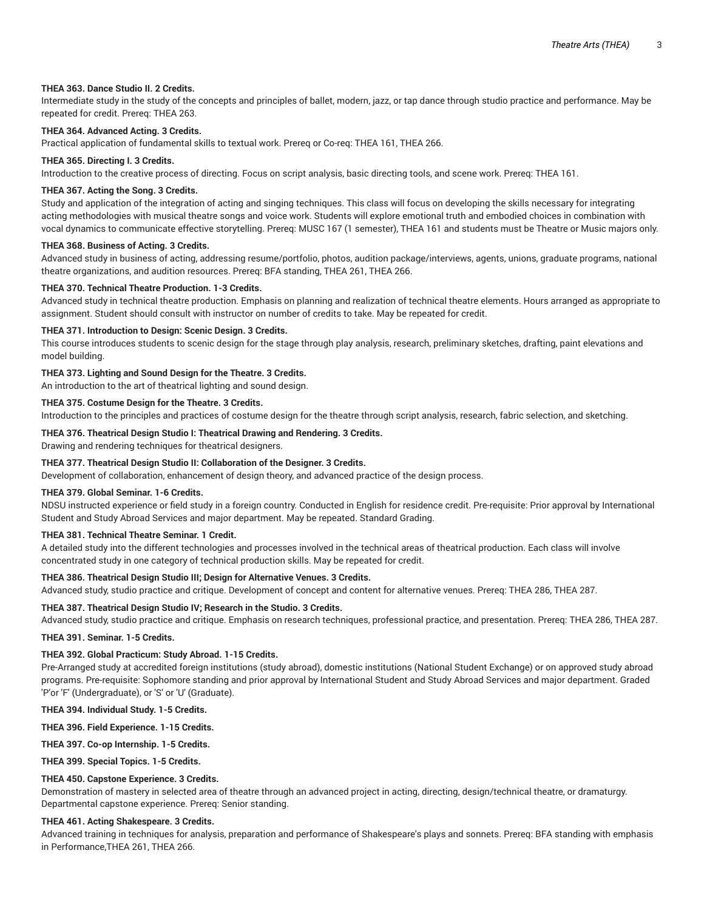## **THEA 363. Dance Studio II. 2 Credits.**

Intermediate study in the study of the concepts and principles of ballet, modern, jazz, or tap dance through studio practice and performance. May be repeated for credit. Prereq: THEA 263.

## **THEA 364. Advanced Acting. 3 Credits.**

Practical application of fundamental skills to textual work. Prereq or Co-req: THEA 161, THEA 266.

#### **THEA 365. Directing I. 3 Credits.**

Introduction to the creative process of directing. Focus on script analysis, basic directing tools, and scene work. Prereq: THEA 161.

#### **THEA 367. Acting the Song. 3 Credits.**

Study and application of the integration of acting and singing techniques. This class will focus on developing the skills necessary for integrating acting methodologies with musical theatre songs and voice work. Students will explore emotional truth and embodied choices in combination with vocal dynamics to communicate effective storytelling. Prereq: MUSC 167 (1 semester), THEA 161 and students must be Theatre or Music majors only.

#### **THEA 368. Business of Acting. 3 Credits.**

Advanced study in business of acting, addressing resume/portfolio, photos, audition package/interviews, agents, unions, graduate programs, national theatre organizations, and audition resources. Prereq: BFA standing, THEA 261, THEA 266.

#### **THEA 370. Technical Theatre Production. 1-3 Credits.**

Advanced study in technical theatre production. Emphasis on planning and realization of technical theatre elements. Hours arranged as appropriate to assignment. Student should consult with instructor on number of credits to take. May be repeated for credit.

#### **THEA 371. Introduction to Design: Scenic Design. 3 Credits.**

This course introduces students to scenic design for the stage through play analysis, research, preliminary sketches, drafting, paint elevations and model building.

#### **THEA 373. Lighting and Sound Design for the Theatre. 3 Credits.**

An introduction to the art of theatrical lighting and sound design.

## **THEA 375. Costume Design for the Theatre. 3 Credits.**

Introduction to the principles and practices of costume design for the theatre through script analysis, research, fabric selection, and sketching.

#### **THEA 376. Theatrical Design Studio I: Theatrical Drawing and Rendering. 3 Credits.**

Drawing and rendering techniques for theatrical designers.

## **THEA 377. Theatrical Design Studio II: Collaboration of the Designer. 3 Credits.**

Development of collaboration, enhancement of design theory, and advanced practice of the design process.

#### **THEA 379. Global Seminar. 1-6 Credits.**

NDSU instructed experience or field study in a foreign country. Conducted in English for residence credit. Pre-requisite: Prior approval by International Student and Study Abroad Services and major department. May be repeated. Standard Grading.

## **THEA 381. Technical Theatre Seminar. 1 Credit.**

A detailed study into the different technologies and processes involved in the technical areas of theatrical production. Each class will involve concentrated study in one category of technical production skills. May be repeated for credit.

#### **THEA 386. Theatrical Design Studio III; Design for Alternative Venues. 3 Credits.**

Advanced study, studio practice and critique. Development of concept and content for alternative venues. Prereq: THEA 286, THEA 287.

#### **THEA 387. Theatrical Design Studio IV; Research in the Studio. 3 Credits.**

Advanced study, studio practice and critique. Emphasis on research techniques, professional practice, and presentation. Prereq: THEA 286, THEA 287.

## **THEA 391. Seminar. 1-5 Credits.**

## **THEA 392. Global Practicum: Study Abroad. 1-15 Credits.**

Pre-Arranged study at accredited foreign institutions (study abroad), domestic institutions (National Student Exchange) or on approved study abroad programs. Pre-requisite: Sophomore standing and prior approval by International Student and Study Abroad Services and major department. Graded 'P'or 'F' (Undergraduate), or 'S' or 'U' (Graduate).

#### **THEA 394. Individual Study. 1-5 Credits.**

**THEA 396. Field Experience. 1-15 Credits.**

**THEA 397. Co-op Internship. 1-5 Credits.**

**THEA 399. Special Topics. 1-5 Credits.**

## **THEA 450. Capstone Experience. 3 Credits.**

Demonstration of mastery in selected area of theatre through an advanced project in acting, directing, design/technical theatre, or dramaturgy. Departmental capstone experience. Prereq: Senior standing.

#### **THEA 461. Acting Shakespeare. 3 Credits.**

Advanced training in techniques for analysis, preparation and performance of Shakespeare's plays and sonnets. Prereq: BFA standing with emphasis in Performance,THEA 261, THEA 266.